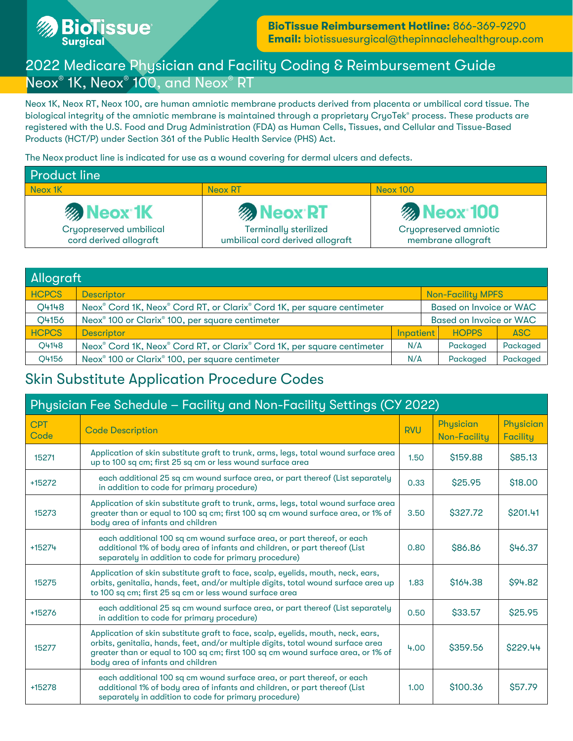

# 2022 Medicare Physician and Facility Coding & Reimbursement Guide Neox® 1K, Neox® 100, and Neox® RT

Neox 1K, Neox RT, Neox 100, are human amniotic membrane products derived from placenta or umbilical cord tissue. The biological integrity of the amniotic membrane is maintained through a proprietary CryoTek® process. These products are registered with the U.S. Food and Drug Administration (FDA) as Human Cells, Tissues, and Cellular and Tissue-Based Products (HCT/P) under Section 361 of the Public Health Service (PHS) Act.

The Neox product line is indicated for use as a wound covering for dermal ulcers and defects.

| <b>Product line</b>                               |                                                                  |                                                     |  |  |  |
|---------------------------------------------------|------------------------------------------------------------------|-----------------------------------------------------|--|--|--|
| Neox 1K                                           | <b>Neox RT</b>                                                   | <b>Neox 100</b>                                     |  |  |  |
| <b>Meox 1K</b>                                    | <b>Meox RT</b>                                                   | <b>Meox 100</b>                                     |  |  |  |
| Cryopreserved umbilical<br>cord derived allograft | <b>Terminally sterilized</b><br>umbilical cord derived allograft | <b>Cryopreserved amniotic</b><br>membrane allograft |  |  |  |

| Allograft    |                                                                         |           |                                |                          |            |
|--------------|-------------------------------------------------------------------------|-----------|--------------------------------|--------------------------|------------|
| <b>HCPCS</b> | Descriptor                                                              |           |                                | <b>Non-Facility MPFS</b> |            |
| Q4148        | Neox® Cord 1K, Neox® Cord RT, or Clarix® Cord 1K, per square centimeter |           | <b>Based on Invoice or WAC</b> |                          |            |
| Q4156        | Neox <sup>®</sup> 100 or Clarix <sup>®</sup> 100, per square centimeter |           | <b>Based on Invoice or WAC</b> |                          |            |
| <b>HCPCS</b> | <b>Descriptor</b>                                                       | Inpatient |                                | <b>HOPPS</b>             | <b>ASC</b> |
| O4148        | Neox® Cord 1K, Neox® Cord RT, or Clarix® Cord 1K, per square centimeter | N/A       |                                | Packaged                 | Packaged   |
| O4156        | Neox <sup>®</sup> 100 or Clarix <sup>®</sup> 100, per square centimeter | N/A       |                                | Packaged                 | Packaged   |

## Skin Substitute Application Procedure Codes

| Physician Fee Schedule - Facility and Non-Facility Settings (CY 2022) |                                                                                                                                                                                                                                                                                               |            |                                  |                              |  |
|-----------------------------------------------------------------------|-----------------------------------------------------------------------------------------------------------------------------------------------------------------------------------------------------------------------------------------------------------------------------------------------|------------|----------------------------------|------------------------------|--|
| <b>CPT</b><br>Code                                                    | <b>Code Description</b>                                                                                                                                                                                                                                                                       | <b>RVU</b> | Physician<br><b>Non-Facility</b> | Physician<br><b>Facility</b> |  |
| 15271                                                                 | Application of skin substitute graft to trunk, arms, legs, total wound surface area<br>up to 100 sq cm; first 25 sq cm or less wound surface area                                                                                                                                             | 1.50       | \$159.88                         | \$85.13                      |  |
| +15272                                                                | each additional 25 sq cm wound surface area, or part thereof (List separately<br>in addition to code for primary procedure)                                                                                                                                                                   | 0.33       | \$25.95                          | \$18.00                      |  |
| 15273                                                                 | Application of skin substitute graft to trunk, arms, legs, total wound surface area<br>greater than or equal to 100 sq cm; first 100 sq cm wound surface area, or 1% of<br>body area of infants and children                                                                                  | 3.50       | \$327.72                         | \$201.41                     |  |
| +15274                                                                | each additional 100 sq cm wound surface area, or part thereof, or each<br>additional 1% of body area of infants and children, or part thereof (List<br>separately in addition to code for primary procedure)                                                                                  | 0.80       | \$86.86                          | \$46.37                      |  |
| 15275                                                                 | Application of skin substitute graft to face, scalp, eyelids, mouth, neck, ears,<br>orbits, genitalia, hands, feet, and/or multiple digits, total wound surface area up<br>to 100 sq cm; first 25 sq cm or less wound surface area                                                            | 1.83       | \$164.38                         | \$94.82                      |  |
| +15276                                                                | each additional 25 sq cm wound surface area, or part thereof (List separately<br>in addition to code for primary procedure)                                                                                                                                                                   | 0.50       | \$33.57                          | \$25.95                      |  |
| 15277                                                                 | Application of skin substitute graft to face, scalp, eyelids, mouth, neck, ears,<br>orbits, genitalia, hands, feet, and/or multiple digits, total wound surface area<br>greater than or equal to 100 sq cm; first 100 sq cm wound surface area, or 1% of<br>body area of infants and children | 4.00       | \$359.56                         | \$229.44                     |  |
| +15278                                                                | each additional 100 sq cm wound surface area, or part thereof, or each<br>additional 1% of body area of infants and children, or part thereof (List<br>separately in addition to code for primary procedure)                                                                                  | 1.00       | \$100.36                         | \$57.79                      |  |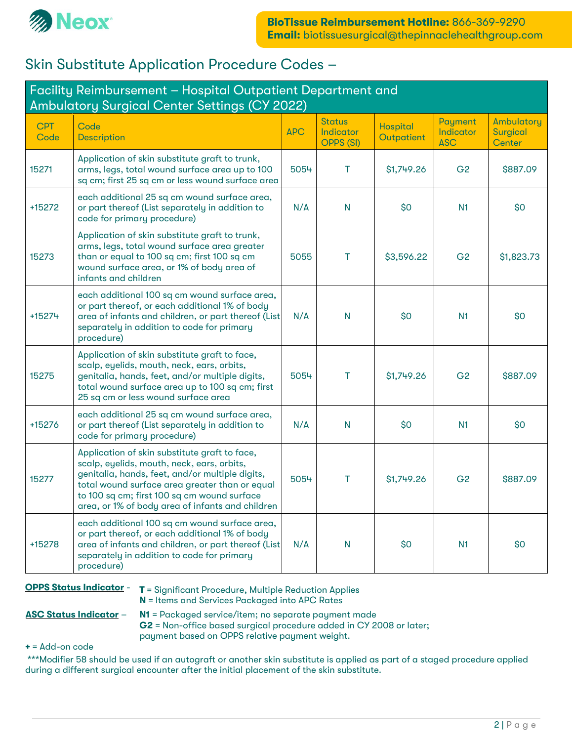

## Skin Substitute Application Procedure Codes –

| Facility Reimbursement - Hospital Outpatient Department and<br>Ambulatory Surgical Center Settings (CY 2022) |                                                                                                                                                                                                                                                                                                     |            |                                                |                               |                                    |                                                |
|--------------------------------------------------------------------------------------------------------------|-----------------------------------------------------------------------------------------------------------------------------------------------------------------------------------------------------------------------------------------------------------------------------------------------------|------------|------------------------------------------------|-------------------------------|------------------------------------|------------------------------------------------|
| <b>CPT</b><br>Code                                                                                           | Code<br><b>Description</b>                                                                                                                                                                                                                                                                          | <b>APC</b> | <b>Status</b><br>Indicator<br><b>OPPS (SI)</b> | <b>Hospital</b><br>Outpatient | Payment<br>Indicator<br><b>ASC</b> | Ambulatory<br><b>Surgical</b><br><b>Center</b> |
| 15271                                                                                                        | Application of skin substitute graft to trunk,<br>arms, legs, total wound surface area up to 100<br>sq cm; first 25 sq cm or less wound surface area                                                                                                                                                | 5054       | т                                              | \$1,749.26                    | G <sub>2</sub>                     | \$887.09                                       |
| +15272                                                                                                       | each additional 25 sq cm wound surface area,<br>or part thereof (List separately in addition to<br>code for primary procedure)                                                                                                                                                                      | N/A        | $\mathsf{N}$                                   | \$0                           | N <sub>1</sub>                     | \$0                                            |
| 15273                                                                                                        | Application of skin substitute graft to trunk,<br>arms, legs, total wound surface area greater<br>than or equal to 100 sq cm; first 100 sq cm<br>wound surface area, or 1% of body area of<br>infants and children                                                                                  | 5055       | т                                              | \$3,596.22                    | G <sub>2</sub>                     | \$1,823.73                                     |
| +15274                                                                                                       | each additional 100 sq cm wound surface area,<br>or part thereof, or each additional 1% of body<br>area of infants and children, or part thereof (List<br>separately in addition to code for primary<br>procedure)                                                                                  | N/A        | N                                              | \$0                           | N <sub>1</sub>                     | \$0                                            |
| 15275                                                                                                        | Application of skin substitute graft to face,<br>scalp, eyelids, mouth, neck, ears, orbits,<br>genitalia, hands, feet, and/or multiple digits,<br>total wound surface area up to 100 sq cm; first<br>25 sq cm or less wound surface area                                                            | 5054       | Τ                                              | \$1,749.26                    | G <sub>2</sub>                     | \$887.09                                       |
| +15276                                                                                                       | each additional 25 sq cm wound surface area,<br>or part thereof (List separately in addition to<br>code for primary procedure)                                                                                                                                                                      | N/A        | N                                              | \$0                           | N <sub>1</sub>                     | \$0                                            |
| 15277                                                                                                        | Application of skin substitute graft to face,<br>scalp, eyelids, mouth, neck, ears, orbits,<br>genitalia, hands, feet, and/or multiple digits,<br>total wound surface area greater than or equal<br>to 100 sq cm; first 100 sq cm wound surface<br>area, or 1% of body area of infants and children | 5054       | т                                              | \$1,749.26                    | G <sub>2</sub>                     | \$887.09                                       |
| +15278                                                                                                       | each additional 100 sq cm wound surface area,<br>or part thereof, or each additional 1% of body<br>area of infants and children, or part thereof (List<br>separately in addition to code for primary<br>procedure)                                                                                  | N/A        | N                                              | \$0                           | N1                                 | \$0                                            |

**OPPS Status Indicator - T** = Significant Procedure, Multiple Reduction Applies N = Items and Services Packaged into APC Rates

ASC Status Indicator - N1 = Packaged service/item; no separate payment made

G2 = Non-office based surgical procedure added in CY 2008 or later;

payment based on OPPS relative payment weight.

 $+$  = Add-on code

\*\*\*Modifier 58 should be used if an autograft or another skin substitute is applied as part of a staged procedure applied during a different surgical encounter after the initial placement of the skin substitute.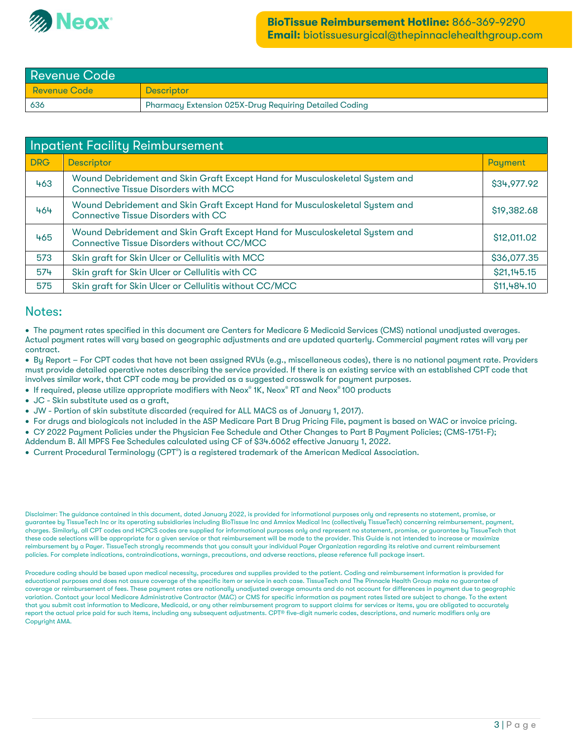

| <b>Revenue Code</b> |                                                               |  |  |  |
|---------------------|---------------------------------------------------------------|--|--|--|
| <b>Revenue Code</b> | <b>Descriptor</b>                                             |  |  |  |
| 636                 | <b>Pharmacy Extension 025X-Drug Requiring Detailed Coding</b> |  |  |  |

| <b>Inpatient Facility Reimbursement</b> |                                                                                                                            |             |  |  |  |
|-----------------------------------------|----------------------------------------------------------------------------------------------------------------------------|-------------|--|--|--|
| <b>DRG</b>                              | <b>Descriptor</b>                                                                                                          | Payment     |  |  |  |
| 463                                     | Wound Debridement and Skin Graft Except Hand for Musculoskeletal System and<br><b>Connective Tissue Disorders with MCC</b> | \$34,977.92 |  |  |  |
| 464                                     | Wound Debridement and Skin Graft Except Hand for Musculoskeletal System and<br><b>Connective Tissue Disorders with CC</b>  | \$19,382.68 |  |  |  |
| 465                                     | Wound Debridement and Skin Graft Except Hand for Musculoskeletal System and<br>Connective Tissue Disorders without CC/MCC  | \$12,011.02 |  |  |  |
| 573                                     | Skin graft for Skin Ulcer or Cellulitis with MCC                                                                           | \$36,077.35 |  |  |  |
| 574                                     | Skin graft for Skin Ulcer or Cellulitis with CC                                                                            | \$21,145.15 |  |  |  |
| 575                                     | Skin graft for Skin Ulcer or Cellulitis without CC/MCC                                                                     | \$11,484.10 |  |  |  |

#### Notes:

• The payment rates specified in this document are Centers for Medicare & Medicaid Services (CMS) national unadjusted averages. Actual payment rates will vary based on geographic adjustments and are updated quarterly. Commercial payment rates will vary per contract.

• By Report – For CPT codes that have not been assigned RVUs (e.g., miscellaneous codes), there is no national payment rate. Providers must provide detailed operative notes describing the service provided. If there is an existing service with an established CPT code that involves similar work, that CPT code may be provided as a suggested crosswalk for payment purposes.

- If required, please utilize appropriate modifiers with Neox® 1K, Neox® RT and Neox® 100 products
- JC Skin substitute used as a graft,
- JW Portion of skin substitute discarded (required for ALL MACS as of January 1, 2017).
- For drugs and biologicals not included in the ASP Medicare Part B Drug Pricing File, payment is based on WAC or invoice pricing.
- CY 2022 Payment Policies under the Physician Fee Schedule and Other Changes to Part B Payment Policies; (CMS-1751-F);
- Addendum B. All MPFS Fee Schedules calculated using CF of \$34.6062 effective January 1, 2022.
- Current Procedural Terminology (CPT®) is a registered trademark of the American Medical Association.

Disclaimer: The guidance contained in this document, dated January 2022, is provided for informational purposes only and represents no statement, promise, or guarantee by TissueTech Inc or its operating subsidiaries including BioTissue Inc and Amniox Medical Inc (collectively TissueTech) concerning reimbursement, payment, charges. Similarly, all CPT codes and HCPCS codes are supplied for informational purposes only and represent no statement, promise, or guarantee by TissueTech that these code selections will be appropriate for a given service or that reimbursement will be made to the provider. This Guide is not intended to increase or maximize reimbursement by a Payer. TissueTech strongly recommends that you consult your individual Payer Organization regarding its relative and current reimbursement policies. For complete indications, contraindications, warnings, precautions, and adverse reactions, please reference full package insert.

Procedure coding should be based upon medical necessity, procedures and supplies provided to the patient. Coding and reimbursement information is provided for educational purposes and does not assure coverage of the specific item or service in each case. TissueTech and The Pinnacle Health Group make no guarantee of coverage or reimbursement of fees. These payment rates are nationally unadjusted average amounts and do not account for differences in payment due to geographic variation. Contact your local Medicare Administrative Contractor (MAC) or CMS for specific information as payment rates listed are subject to change. To the extent that you submit cost information to Medicare, Medicaid, or any other reimbursement program to support claims for services or items, you are obligated to accurately report the actual price paid for such items, including any subsequent adjustments. CPT® five-digit numeric codes, descriptions, and numeric modifiers only are Copuright AMA.